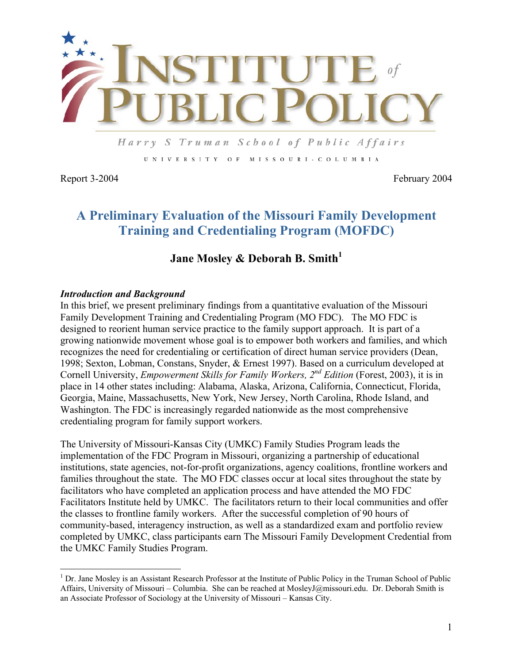

Harry S Truman School of Public Affairs UNIVERSITY OF MISSOURI-COLUMBIA

 $\overline{a}$ 

Report 3-2004 February 2004

# **A Preliminary Evaluation of the Missouri Family Development Training and Credentialing Program (MOFDC)**

## **Jane Mosley & Deborah B. Smith<sup>1</sup>**

#### *Introduction and Background*

In this brief, we present preliminary findings from a quantitative evaluation of the Missouri Family Development Training and Credentialing Program (MO FDC). The MO FDC is designed to reorient human service practice to the family support approach. It is part of a growing nationwide movement whose goal is to empower both workers and families, and which recognizes the need for credentialing or certification of direct human service providers (Dean, 1998; Sexton, Lobman, Constans, Snyder, & Ernest 1997). Based on a curriculum developed at Cornell University, *Empowerment Skills for Family Workers, 2nd Edition* (Forest, 2003), it is in place in 14 other states including: Alabama, Alaska, Arizona, California, Connecticut, Florida, Georgia, Maine, Massachusetts, New York, New Jersey, North Carolina, Rhode Island, and Washington. The FDC is increasingly regarded nationwide as the most comprehensive credentialing program for family support workers.

The University of Missouri-Kansas City (UMKC) Family Studies Program leads the implementation of the FDC Program in Missouri, organizing a partnership of educational institutions, state agencies, not-for-profit organizations, agency coalitions, frontline workers and families throughout the state. The MO FDC classes occur at local sites throughout the state by facilitators who have completed an application process and have attended the MO FDC Facilitators Institute held by UMKC. The facilitators return to their local communities and offer the classes to frontline family workers. After the successful completion of 90 hours of community-based, interagency instruction, as well as a standardized exam and portfolio review completed by UMKC, class participants earn The Missouri Family Development Credential from the UMKC Family Studies Program.

<sup>&</sup>lt;sup>1</sup> Dr. Jane Mosley is an Assistant Research Professor at the Institute of Public Policy in the Truman School of Public Affairs, University of Missouri – Columbia. She can be reached at MosleyJ@missouri.edu. Dr. Deborah Smith is an Associate Professor of Sociology at the University of Missouri – Kansas City.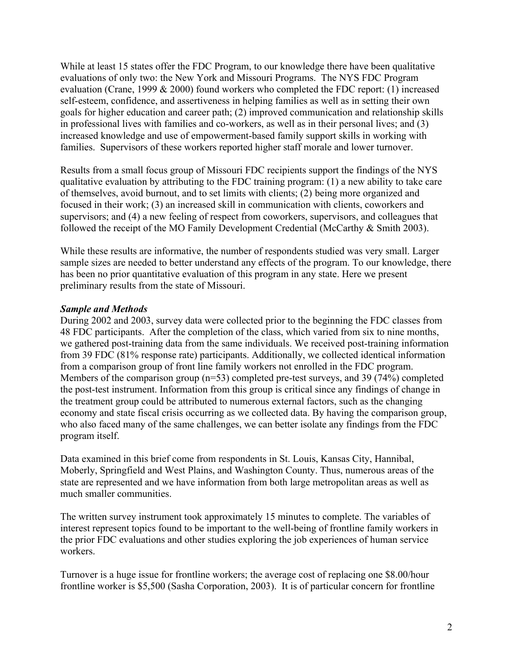While at least 15 states offer the FDC Program, to our knowledge there have been qualitative evaluations of only two: the New York and Missouri Programs. The NYS FDC Program evaluation (Crane, 1999 & 2000) found workers who completed the FDC report: (1) increased self-esteem, confidence, and assertiveness in helping families as well as in setting their own goals for higher education and career path; (2) improved communication and relationship skills in professional lives with families and co-workers, as well as in their personal lives; and (3) increased knowledge and use of empowerment-based family support skills in working with families. Supervisors of these workers reported higher staff morale and lower turnover.

Results from a small focus group of Missouri FDC recipients support the findings of the NYS qualitative evaluation by attributing to the FDC training program: (1) a new ability to take care of themselves, avoid burnout, and to set limits with clients; (2) being more organized and focused in their work; (3) an increased skill in communication with clients, coworkers and supervisors; and (4) a new feeling of respect from coworkers, supervisors, and colleagues that followed the receipt of the MO Family Development Credential (McCarthy & Smith 2003).

While these results are informative, the number of respondents studied was very small. Larger sample sizes are needed to better understand any effects of the program. To our knowledge, there has been no prior quantitative evaluation of this program in any state. Here we present preliminary results from the state of Missouri.

### *Sample and Methods*

During 2002 and 2003, survey data were collected prior to the beginning the FDC classes from 48 FDC participants. After the completion of the class, which varied from six to nine months, we gathered post-training data from the same individuals. We received post-training information from 39 FDC (81% response rate) participants. Additionally, we collected identical information from a comparison group of front line family workers not enrolled in the FDC program. Members of the comparison group (n=53) completed pre-test surveys, and 39 (74%) completed the post-test instrument. Information from this group is critical since any findings of change in the treatment group could be attributed to numerous external factors, such as the changing economy and state fiscal crisis occurring as we collected data. By having the comparison group, who also faced many of the same challenges, we can better isolate any findings from the FDC program itself.

Data examined in this brief come from respondents in St. Louis, Kansas City, Hannibal, Moberly, Springfield and West Plains, and Washington County. Thus, numerous areas of the state are represented and we have information from both large metropolitan areas as well as much smaller communities.

The written survey instrument took approximately 15 minutes to complete. The variables of interest represent topics found to be important to the well-being of frontline family workers in the prior FDC evaluations and other studies exploring the job experiences of human service workers.

Turnover is a huge issue for frontline workers; the average cost of replacing one \$8.00/hour frontline worker is \$5,500 (Sasha Corporation, 2003). It is of particular concern for frontline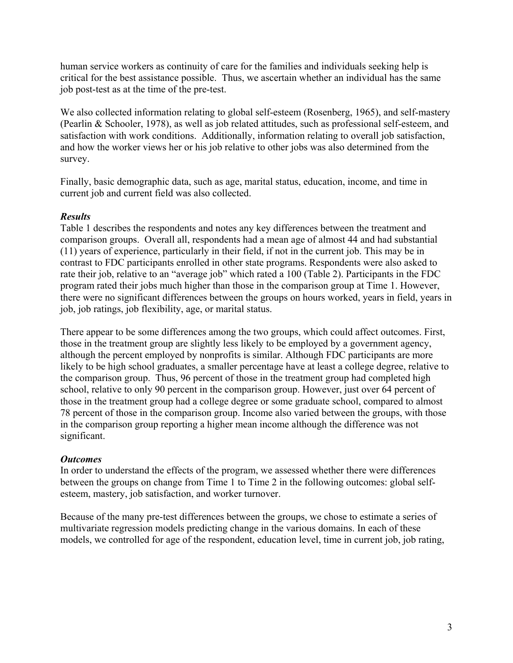human service workers as continuity of care for the families and individuals seeking help is critical for the best assistance possible. Thus, we ascertain whether an individual has the same job post-test as at the time of the pre-test.

We also collected information relating to global self-esteem (Rosenberg, 1965), and self-mastery (Pearlin & Schooler, 1978), as well as job related attitudes, such as professional self-esteem, and satisfaction with work conditions. Additionally, information relating to overall job satisfaction, and how the worker views her or his job relative to other jobs was also determined from the survey.

Finally, basic demographic data, such as age, marital status, education, income, and time in current job and current field was also collected.

### *Results*

Table 1 describes the respondents and notes any key differences between the treatment and comparison groups. Overall all, respondents had a mean age of almost 44 and had substantial (11) years of experience, particularly in their field, if not in the current job. This may be in contrast to FDC participants enrolled in other state programs. Respondents were also asked to rate their job, relative to an "average job" which rated a 100 (Table 2). Participants in the FDC program rated their jobs much higher than those in the comparison group at Time 1. However, there were no significant differences between the groups on hours worked, years in field, years in job, job ratings, job flexibility, age, or marital status.

There appear to be some differences among the two groups, which could affect outcomes. First, those in the treatment group are slightly less likely to be employed by a government agency, although the percent employed by nonprofits is similar. Although FDC participants are more likely to be high school graduates, a smaller percentage have at least a college degree, relative to the comparison group. Thus, 96 percent of those in the treatment group had completed high school, relative to only 90 percent in the comparison group. However, just over 64 percent of those in the treatment group had a college degree or some graduate school, compared to almost 78 percent of those in the comparison group. Income also varied between the groups, with those in the comparison group reporting a higher mean income although the difference was not significant.

### *Outcomes*

In order to understand the effects of the program, we assessed whether there were differences between the groups on change from Time 1 to Time 2 in the following outcomes: global selfesteem, mastery, job satisfaction, and worker turnover.

Because of the many pre-test differences between the groups, we chose to estimate a series of multivariate regression models predicting change in the various domains. In each of these models, we controlled for age of the respondent, education level, time in current job, job rating,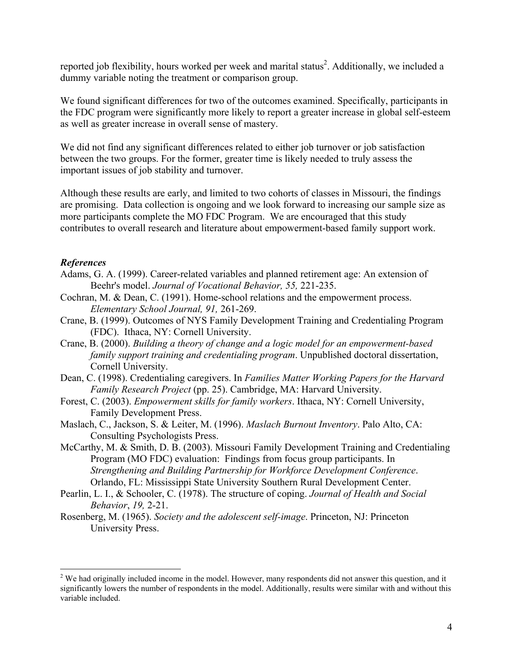reported job flexibility, hours worked per week and marital status<sup>2</sup>. Additionally, we included a dummy variable noting the treatment or comparison group.

We found significant differences for two of the outcomes examined. Specifically, participants in the FDC program were significantly more likely to report a greater increase in global self-esteem as well as greater increase in overall sense of mastery.

We did not find any significant differences related to either job turnover or job satisfaction between the two groups. For the former, greater time is likely needed to truly assess the important issues of job stability and turnover.

Although these results are early, and limited to two cohorts of classes in Missouri, the findings are promising. Data collection is ongoing and we look forward to increasing our sample size as more participants complete the MO FDC Program. We are encouraged that this study contributes to overall research and literature about empowerment-based family support work.

#### *References*

 $\overline{a}$ 

- Adams, G. A. (1999). Career-related variables and planned retirement age: An extension of Beehr's model. *Journal of Vocational Behavior, 55,* 221-235.
- Cochran, M. & Dean, C. (1991). Home-school relations and the empowerment process. *Elementary School Journal, 91,* 261-269.
- Crane, B. (1999). Outcomes of NYS Family Development Training and Credentialing Program (FDC). Ithaca, NY: Cornell University.
- Crane, B. (2000). *Building a theory of change and a logic model for an empowerment-based family support training and credentialing program*. Unpublished doctoral dissertation, Cornell University.
- Dean, C. (1998). Credentialing caregivers. In *Families Matter Working Papers for the Harvard Family Research Project* (pp. 25). Cambridge, MA: Harvard University.
- Forest, C. (2003). *Empowerment skills for family workers*. Ithaca, NY: Cornell University, Family Development Press.
- Maslach, C., Jackson, S. & Leiter, M. (1996). *Maslach Burnout Inventory*. Palo Alto, CA: Consulting Psychologists Press.
- McCarthy, M. & Smith, D. B. (2003). Missouri Family Development Training and Credentialing Program (MO FDC) evaluation: Findings from focus group participants. In *Strengthening and Building Partnership for Workforce Development Conference*. Orlando, FL: Mississippi State University Southern Rural Development Center.
- Pearlin, L. I., & Schooler, C. (1978). The structure of coping. *Journal of Health and Social Behavior*, *19,* 2-21.
- Rosenberg, M. (1965). *Society and the adolescent self-image*. Princeton, NJ: Princeton University Press.

 $2^2$  We had originally included income in the model. However, many respondents did not answer this question, and it significantly lowers the number of respondents in the model. Additionally, results were similar with and without this variable included.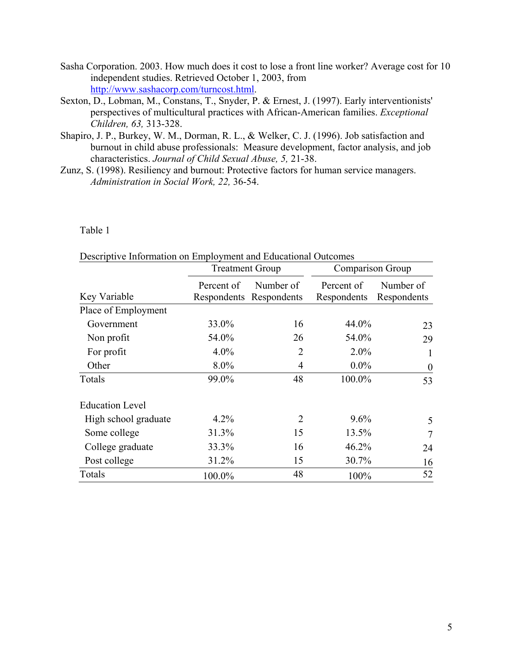- Sasha Corporation. 2003. How much does it cost to lose a front line worker? Average cost for 10 independent studies. Retrieved October 1, 2003, from http://www.sashacorp.com/turncost.html.
- Sexton, D., Lobman, M., Constans, T., Snyder, P. & Ernest, J. (1997). Early interventionists' perspectives of multicultural practices with African-American families. *Exceptional Children, 63,* 313-328.
- Shapiro, J. P., Burkey, W. M., Dorman, R. L., & Welker, C. J. (1996). Job satisfaction and burnout in child abuse professionals: Measure development, factor analysis, and job characteristics. *Journal of Child Sexual Abuse, 5,* 21-38.
- Zunz, S. (1998). Resiliency and burnout: Protective factors for human service managers. *Administration in Social Work, 22,* 36-54.

Table 1

|                        | <b>Treatment Group</b> |                                      | Comparison Group          |                          |
|------------------------|------------------------|--------------------------------------|---------------------------|--------------------------|
| Key Variable           | Percent of             | Number of<br>Respondents Respondents | Percent of<br>Respondents | Number of<br>Respondents |
| Place of Employment    |                        |                                      |                           |                          |
| Government             | 33.0%                  | 16                                   | 44.0%                     | 23                       |
| Non profit             | 54.0%                  | 26                                   | 54.0%                     | 29                       |
| For profit             | $4.0\%$                | $\overline{2}$                       | $2.0\%$                   | $\mathbf{1}$             |
| Other                  | 8.0%                   | $\overline{4}$                       | $0.0\%$                   | $\theta$                 |
| Totals                 | 99.0%                  | 48                                   | 100.0%                    | 53                       |
| <b>Education Level</b> |                        |                                      |                           |                          |
| High school graduate   | 4.2%                   | $\overline{2}$                       | $9.6\%$                   | 5                        |
| Some college           | 31.3%                  | 15                                   | 13.5%                     | 7                        |
| College graduate       | 33.3%                  | 16                                   | 46.2%                     | 24                       |
| Post college           | 31.2%                  | 15                                   | 30.7%                     | 16                       |
| Totals                 | 100.0%                 | 48                                   | 100%                      | 52                       |

Descriptive Information on Employment and Educational Outcomes